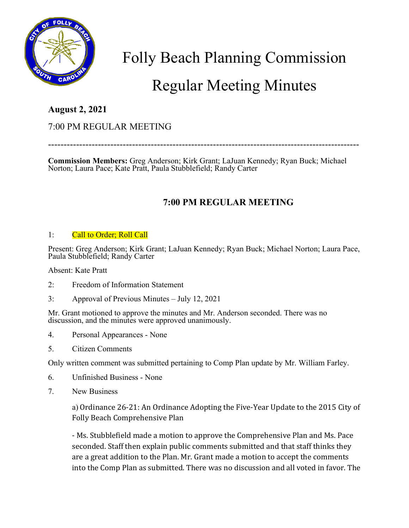

# Folly Beach Planning Commission

# Regular Meeting Minutes

### **August 2, 2021**

### 7:00 PM REGULAR MEETING

----------------------------------------------------------------------------------------------------

**Commission Members:** Greg Anderson; Kirk Grant; LaJuan Kennedy; Ryan Buck; Michael Norton; Laura Pace; Kate Pratt, Paula Stubblefield; Randy Carter

## **7:00 PM REGULAR MEETING**

#### 1: Call to Order; Roll Call

Present: Greg Anderson; Kirk Grant; LaJuan Kennedy; Ryan Buck; Michael Norton; Laura Pace, Paula Stubblefield; Randy Carter

Absent: Kate Pratt

- 2: Freedom of Information Statement
- 3: Approval of Previous Minutes July 12, 2021

Mr. Grant motioned to approve the minutes and Mr. Anderson seconded. There was no discussion, and the minutes were approved unanimously.

- 4. Personal Appearances None
- 5. Citizen Comments

Only written comment was submitted pertaining to Comp Plan update by Mr. William Farley.

- 6. Unfinished Business None
- 7. New Business

a) Ordinance 26-21: An Ordinance Adopting the Five-Year Update to the 2015 City of Folly Beach Comprehensive Plan

- Ms. Stubblefield made a motion to approve the Comprehensive Plan and Ms. Pace seconded. Staff then explain public comments submitted and that staff thinks they are a great addition to the Plan. Mr. Grant made a motion to accept the comments into the Comp Plan as submitted. There was no discussion and all voted in favor. The